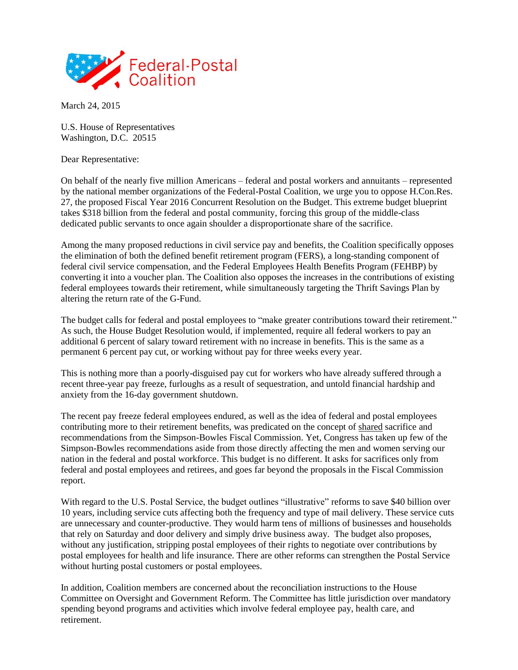

March 24, 2015

U.S. House of Representatives Washington, D.C. 20515

Dear Representative:

On behalf of the nearly five million Americans – federal and postal workers and annuitants – represented by the national member organizations of the Federal-Postal Coalition, we urge you to oppose H.Con.Res. 27, the proposed Fiscal Year 2016 Concurrent Resolution on the Budget. This extreme budget blueprint takes \$318 billion from the federal and postal community, forcing this group of the middle-class dedicated public servants to once again shoulder a disproportionate share of the sacrifice.

Among the many proposed reductions in civil service pay and benefits, the Coalition specifically opposes the elimination of both the defined benefit retirement program (FERS), a long-standing component of federal civil service compensation, and the Federal Employees Health Benefits Program (FEHBP) by converting it into a voucher plan. The Coalition also opposes the increases in the contributions of existing federal employees towards their retirement, while simultaneously targeting the Thrift Savings Plan by altering the return rate of the G-Fund.

The budget calls for federal and postal employees to "make greater contributions toward their retirement." As such, the House Budget Resolution would, if implemented, require all federal workers to pay an additional 6 percent of salary toward retirement with no increase in benefits. This is the same as a permanent 6 percent pay cut, or working without pay for three weeks every year.

This is nothing more than a poorly-disguised pay cut for workers who have already suffered through a recent three-year pay freeze, furloughs as a result of sequestration, and untold financial hardship and anxiety from the 16-day government shutdown.

The recent pay freeze federal employees endured, as well as the idea of federal and postal employees contributing more to their retirement benefits, was predicated on the concept of shared sacrifice and recommendations from the Simpson-Bowles Fiscal Commission. Yet, Congress has taken up few of the Simpson-Bowles recommendations aside from those directly affecting the men and women serving our nation in the federal and postal workforce. This budget is no different. It asks for sacrifices only from federal and postal employees and retirees, and goes far beyond the proposals in the Fiscal Commission report.

With regard to the U.S. Postal Service, the budget outlines "illustrative" reforms to save \$40 billion over 10 years, including service cuts affecting both the frequency and type of mail delivery. These service cuts are unnecessary and counter-productive. They would harm tens of millions of businesses and households that rely on Saturday and door delivery and simply drive business away. The budget also proposes, without any justification, stripping postal employees of their rights to negotiate over contributions by postal employees for health and life insurance. There are other reforms can strengthen the Postal Service without hurting postal customers or postal employees.

In addition, Coalition members are concerned about the reconciliation instructions to the House Committee on Oversight and Government Reform. The Committee has little jurisdiction over mandatory spending beyond programs and activities which involve federal employee pay, health care, and retirement.